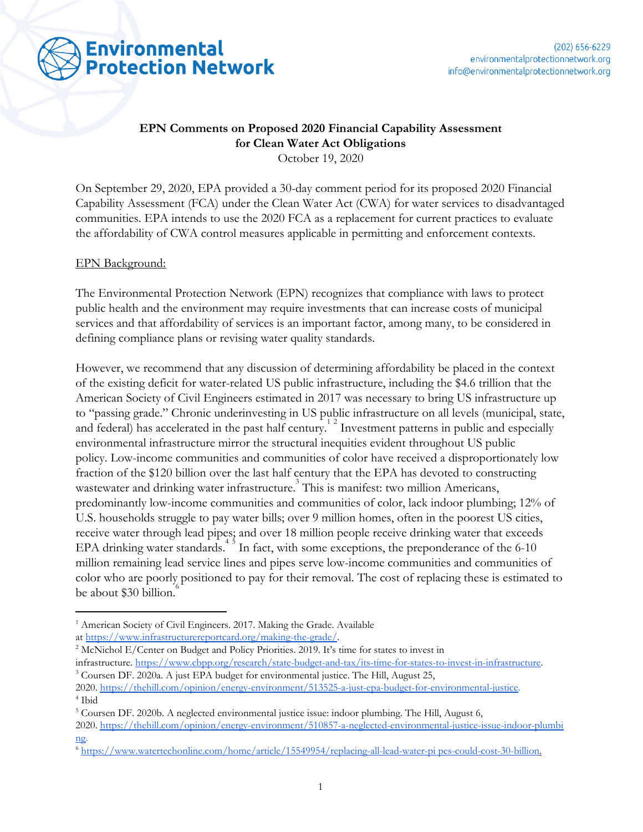

# **EPN Comments on Proposed 2020 Financial Capability Assessment for Clean Water Act Obligations**

October 19, 2020

On September 29, 2020, EPA provided a 30-day comment period for its proposed 2020 Financial Capability Assessment (FCA) under the Clean Water Act (CWA) for water services to disadvantaged communities. EPA intends to use the 2020 FCA as a replacement for current practices to evaluate the affordability of CWA control measures applicable in permitting and enforcement contexts.

#### EPN Background:

The Environmental Protection Network (EPN) recognizes that compliance with laws to protect public health and the environment may require investments that can increase costs of municipal services and that affordability of services is an important factor, among many, to be considered in defining compliance plans or revising water quality standards.

However, we recommend that any discussion of determining affordability be placed in the context of the existing deficit for water-related US public infrastructure, including the \$4.6 trillion that the American Society of Civil Engineers estimated in 2017 was necessary to bring US infrastructure up to "passing grade." Chronic underinvesting in US public infrastructure on all levels (municipal, state, and federal) has accelerated in the past half century.<sup>12</sup> Investment patterns in public and especially environmental infrastructure mirror the structural inequities evident throughout US public policy. Low-income communities and communities of color have received a disproportionately low fraction of the \$120 billion over the last half century that the EPA has devoted to constructing wastewater and drinking water infrastructure. This is manifest: two million Americans, predominantly low-income communities and communities of color, lack indoor plumbing; 12% of U.S. households struggle to pay water bills; over 9 million homes, often in the poorest US cities, receive water through lead pipes; and over 18 million people receive drinking water that exceeds EPA drinking water standards. In fact, with some exceptions, the preponderance of the  $6-10$ million remaining lead service lines and pipes serve low-income communities and communities of color who are poorly positioned to pay for their removal. The cost of replacing these is estimated to be about \$30 billion.

<sup>&</sup>lt;sup>1</sup> American Society of Civil Engineers. 2017. Making the Grade. Available

at <https://www.infrastructurereportcard.org/making-the-grade/>.

<sup>&</sup>lt;sup>2</sup> McNichol E/Center on Budget and Policy Priorities. 2019. It's time for states to invest in

infrastructure. <https://www.cbpp.org/research/state-budget-and-tax/its-time-for-states-to-invest-in-infrastructure>. <sup>3</sup> Coursen DF. 2020a. A just EPA budget for environmental justice. The Hill, August 25,

<sup>2020.</sup> [https://thehill.com/opinion/energy-environment/513525-a-just-epa-budget-for-environmental-justice.](https://thehill.com/opinion/energy-environment/513525-a-just-epa-budget-for-environmental-justice) 4 Ibid

<sup>5</sup> Coursen DF. 2020b. A neglected environmental justice issue: indoor plumbing. The Hill, August 6,

<sup>2020.</sup> [https://thehill.com/opinion/energy-environment/510857-a-neglected-environmental-justice-issue-indoor-plumbi](https://thehill.com/opinion/energy-environment/510857-a-neglected-environmental-justice-issue-indoor-plumbing) [ng.](https://thehill.com/opinion/energy-environment/510857-a-neglected-environmental-justice-issue-indoor-plumbing)

<sup>6</sup> <https://www.watertechonline.com/home/article/15549954/replacing-all-lead-water-pi> pes-could-cost-30-billion[.](https://www.watertechonline.com/home/article/15549954/replacing-all-lead-water-pi)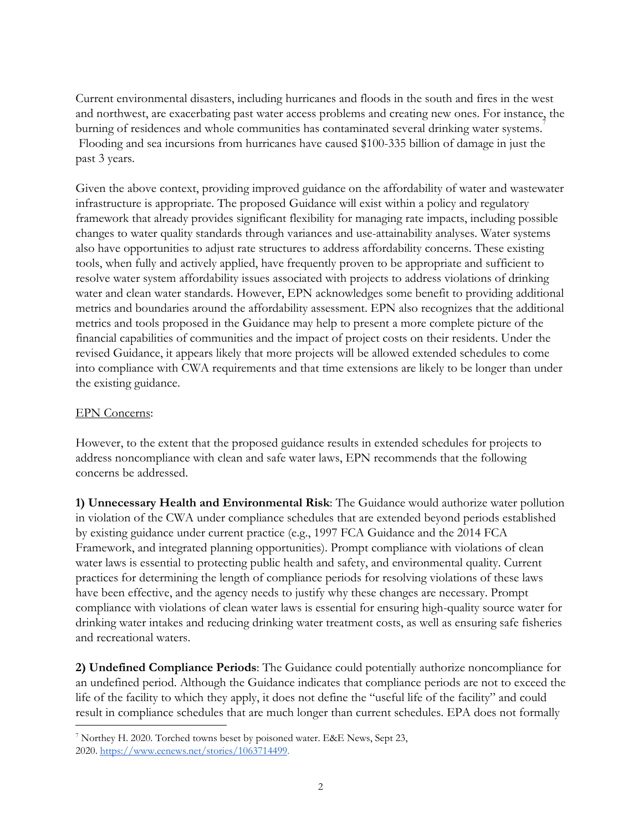Current environmental disasters, including hurricanes and floods in the south and fires in the west and northwest, are exacerbating past water access problems and creating new ones. For instance, the burning of residences and whole communities has contaminated several drinking water systems. Flooding and sea incursions from hurricanes have caused \$100-335 billion of damage in just the past 3 years.

Given the above context, providing improved guidance on the affordability of water and wastewater infrastructure is appropriate. The proposed Guidance will exist within a policy and regulatory framework that already provides significant flexibility for managing rate impacts, including possible changes to water quality standards through variances and use-attainability analyses. Water systems also have opportunities to adjust rate structures to address affordability concerns. These existing tools, when fully and actively applied, have frequently proven to be appropriate and sufficient to resolve water system affordability issues associated with projects to address violations of drinking water and clean water standards. However, EPN acknowledges some benefit to providing additional metrics and boundaries around the affordability assessment. EPN also recognizes that the additional metrics and tools proposed in the Guidance may help to present a more complete picture of the financial capabilities of communities and the impact of project costs on their residents. Under the revised Guidance, it appears likely that more projects will be allowed extended schedules to come into compliance with CWA requirements and that time extensions are likely to be longer than under the existing guidance.

### EPN Concerns:

However, to the extent that the proposed guidance results in extended schedules for projects to address noncompliance with clean and safe water laws, EPN recommends that the following concerns be addressed.

**1) Unnecessary Health and Environmental Risk**: The Guidance would authorize water pollution in violation of the CWA under compliance schedules that are extended beyond periods established by existing guidance under current practice (e.g., 1997 FCA Guidance and the 2014 FCA Framework, and integrated planning opportunities). Prompt compliance with violations of clean water laws is essential to protecting public health and safety, and environmental quality. Current practices for determining the length of compliance periods for resolving violations of these laws have been effective, and the agency needs to justify why these changes are necessary. Prompt compliance with violations of clean water laws is essential for ensuring high-quality source water for drinking water intakes and reducing drinking water treatment costs, as well as ensuring safe fisheries and recreational waters.

**2) Undefined Compliance Periods**: The Guidance could potentially authorize noncompliance for an undefined period. Although the Guidance indicates that compliance periods are not to exceed the life of the facility to which they apply, it does not define the "useful life of the facility" and could result in compliance schedules that are much longer than current schedules. EPA does not formally

<sup>7</sup> Northey H. 2020. Torched towns beset by poisoned water. E&E News, Sept 23, 2020. [https://www.eenews.net/stories/1063714499.](https://www.eenews.net/stories/1063714499)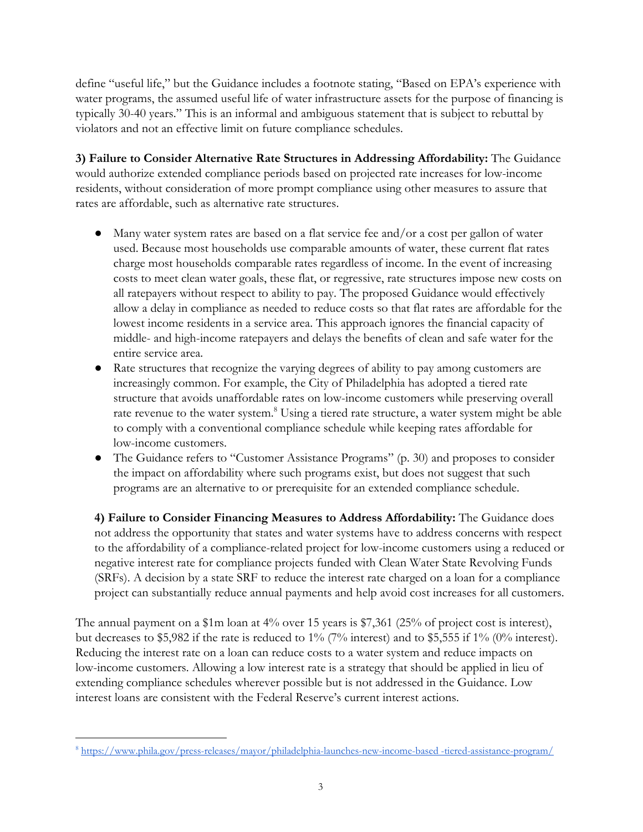define "useful life," but the Guidance includes a footnote stating, "Based on EPA's experience with water programs, the assumed useful life of water infrastructure assets for the purpose of financing is typically 30-40 years." This is an informal and ambiguous statement that is subject to rebuttal by violators and not an effective limit on future compliance schedules.

**3) Failure to Consider Alternative Rate Structures in Addressing Affordability:** The Guidance would authorize extended compliance periods based on projected rate increases for low-income residents, without consideration of more prompt compliance using other measures to assure that rates are affordable, such as alternative rate structures.

- Many water system rates are based on a flat service fee and/or a cost per gallon of water used. Because most households use comparable amounts of water, these current flat rates charge most households comparable rates regardless of income. In the event of increasing costs to meet clean water goals, these flat, or regressive, rate structures impose new costs on all ratepayers without respect to ability to pay. The proposed Guidance would effectively allow a delay in compliance as needed to reduce costs so that flat rates are affordable for the lowest income residents in a service area. This approach ignores the financial capacity of middle- and high-income ratepayers and delays the benefits of clean and safe water for the entire service area.
- Rate structures that recognize the varying degrees of ability to pay among customers are increasingly common. For example, the City of Philadelphia has adopted a tiered rate structure that avoids unaffordable rates on low-income customers while preserving overall rate revenue to the water system.<sup>8</sup> Using a tiered rate structure, a water system might be able to comply with a conventional compliance schedule while keeping rates affordable for low-income customers.
- The Guidance refers to "Customer Assistance Programs" (p. 30) and proposes to consider the impact on affordability where such programs exist, but does not suggest that such programs are an alternative to or prerequisite for an extended compliance schedule.

**4) Failure to Consider Financing Measures to Address Affordability:** The Guidance does not address the opportunity that states and water systems have to address concerns with respect to the affordability of a compliance-related project for low-income customers using a reduced or negative interest rate for compliance projects funded with Clean Water State Revolving Funds (SRFs). A decision by a state SRF to reduce the interest rate charged on a loan for a compliance project can substantially reduce annual payments and help avoid cost increases for all customers.

The annual payment on a \$1m loan at 4% over 15 years is \$7,361 (25% of project cost is interest), but decreases to \$5,982 if the rate is reduced to 1% (7% interest) and to \$5,555 if 1% (0% interest). Reducing the interest rate on a loan can reduce costs to a water system and reduce impacts on low-income customers. Allowing a low interest rate is a strategy that should be applied in lieu of extending compliance schedules wherever possible but is not addressed in the Guidance. Low interest loans are consistent with the Federal Reserve's current interest actions.

<sup>8</sup> https://www.phila.gov/press-releases/mayor/philadelphia-launches-new-income-based -tiered-assistance-program/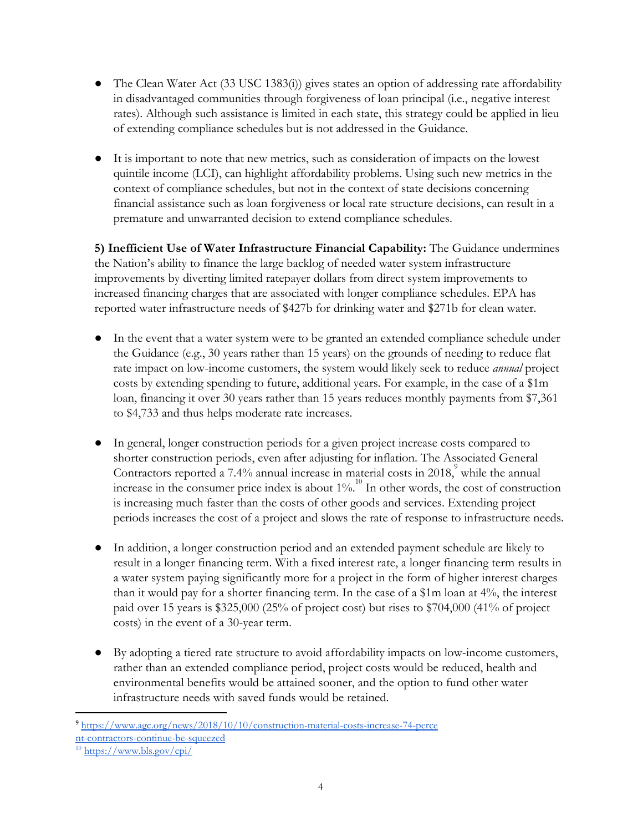- The Clean Water Act (33 USC 1383(i)) gives states an option of addressing rate affordability in disadvantaged communities through forgiveness of loan principal (i.e., negative interest rates). Although such assistance is limited in each state, this strategy could be applied in lieu of extending compliance schedules but is not addressed in the Guidance.
- It is important to note that new metrics, such as consideration of impacts on the lowest quintile income (LCI), can highlight affordability problems. Using such new metrics in the context of compliance schedules, but not in the context of state decisions concerning financial assistance such as loan forgiveness or local rate structure decisions, can result in a premature and unwarranted decision to extend compliance schedules.

**5) Inefficient Use of Water Infrastructure Financial Capability:** The Guidance undermines the Nation's ability to finance the large backlog of needed water system infrastructure improvements by diverting limited ratepayer dollars from direct system improvements to increased financing charges that are associated with longer compliance schedules. EPA has reported water infrastructure needs of \$427b for drinking water and \$271b for clean water.

- In the event that a water system were to be granted an extended compliance schedule under the Guidance (e.g., 30 years rather than 15 years) on the grounds of needing to reduce flat rate impact on low-income customers, the system would likely seek to reduce *annual* project costs by extending spending to future, additional years. For example, in the case of a \$1m loan, financing it over 30 years rather than 15 years reduces monthly payments from \$7,361 to \$4,733 and thus helps moderate rate increases.
- In general, longer construction periods for a given project increase costs compared to shorter construction periods, even after adjusting for inflation. The Associated General Contractors reported a 7.4% annual increase in material costs in  $2018$ , while the annual increase in the consumer price index is about  $1\%$ .<sup>10</sup> In other words, the cost of construction is increasing much faster than the costs of other goods and services. Extending project periods increases the cost of a project and slows the rate of response to infrastructure needs.
- In addition, a longer construction period and an extended payment schedule are likely to result in a longer financing term. With a fixed interest rate, a longer financing term results in a water system paying significantly more for a project in the form of higher interest charges than it would pay for a shorter financing term. In the case of a \$1m loan at 4%, the interest paid over 15 years is \$325,000 (25% of project cost) but rises to \$704,000 (41% of project costs) in the event of a 30-year term.
- By adopting a tiered rate structure to avoid affordability impacts on low-income customers, rather than an extended compliance period, project costs would be reduced, health and environmental benefits would be attained sooner, and the option to fund other water infrastructure needs with saved funds would be retained.

[<sup>9</sup>](https://www.agc.org/news/2018/10/10/construction-material-costs-increase-74-perce) <https://www.agc.org/news/2018/10/10/construction-material-costs-increase-74-perce> [nt-contractors-continue-be-squeezed](https://www.agc.org/news/2018/10/10/construction-material-costs-increase-74-perce)

<sup>10</sup> <https://www.bls.gov/cpi/>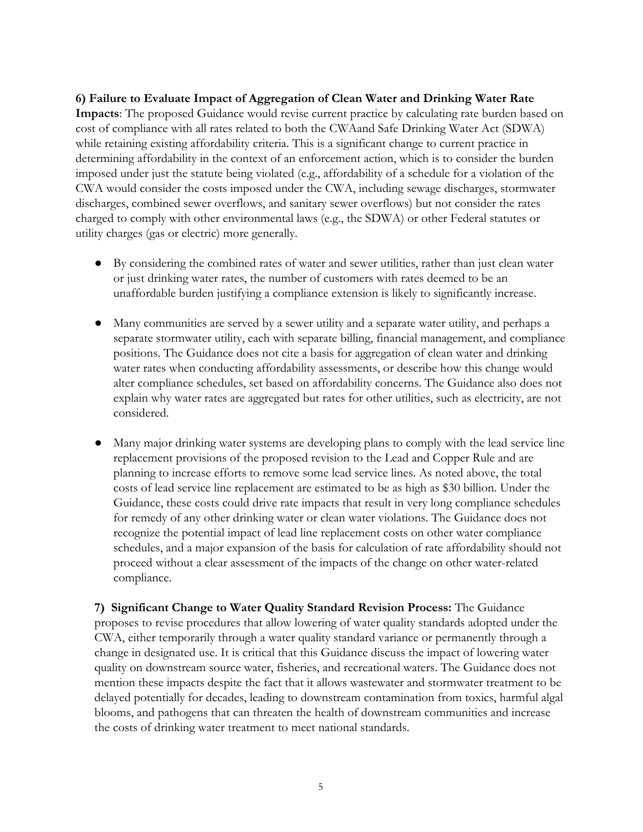## **6) Failure to Evaluate Impact of Aggregation of Clean Water and Drinking Water Rate Impacts**: The proposed Guidance would revise current practice by calculating rate burden based on cost of compliance with all rates related to both the CWAand Safe Drinking Water Act (SDWA) while retaining existing affordability criteria. This is a significant change to current practice in determining affordability in the context of an enforcement action, which is to consider the burden imposed under just the statute being violated (e.g., affordability of a schedule for a violation of the CWA would consider the costs imposed under the CWA, including sewage discharges, stormwater discharges, combined sewer overflows, and sanitary sewer overflows) but not consider the rates charged to comply with other environmental laws (e.g., the SDWA) or other Federal statutes or utility charges (gas or electric) more generally.

- By considering the combined rates of water and sewer utilities, rather than just clean water or just drinking water rates, the number of customers with rates deemed to be an unaffordable burden justifying a compliance extension is likely to significantly increase.
- Many communities are served by a sewer utility and a separate water utility, and perhaps a separate stormwater utility, each with separate billing, financial management, and compliance positions. The Guidance does not cite a basis for aggregation of clean water and drinking water rates when conducting affordability assessments, or describe how this change would alter compliance schedules, set based on affordability concerns. The Guidance also does not explain why water rates are aggregated but rates for other utilities, such as electricity, are not considered.
- Many major drinking water systems are developing plans to comply with the lead service line replacement provisions of the proposed revision to the Lead and Copper Rule and are planning to increase efforts to remove some lead service lines. As noted above, the total costs of lead service line replacement are estimated to be as high as \$30 billion. Under the Guidance, these costs could drive rate impacts that result in very long compliance schedules for remedy of any other drinking water or clean water violations. The Guidance does not recognize the potential impact of lead line replacement costs on other water compliance schedules, and a major expansion of the basis for calculation of rate affordability should not proceed without a clear assessment of the impacts of the change on other water-related compliance.

**7) Significant Change to Water Quality Standard Revision Process:** The Guidance proposes to revise procedures that allow lowering of water quality standards adopted under the CWA, either temporarily through a water quality standard variance or permanently through a change in designated use. It is critical that this Guidance discuss the impact of lowering water quality on downstream source water, fisheries, and recreational waters. The Guidance does not mention these impacts despite the fact that it allows wastewater and stormwater treatment to be delayed potentially for decades, leading to downstream contamination from toxics, harmful algal blooms, and pathogens that can threaten the health of downstream communities and increase the costs of drinking water treatment to meet national standards.